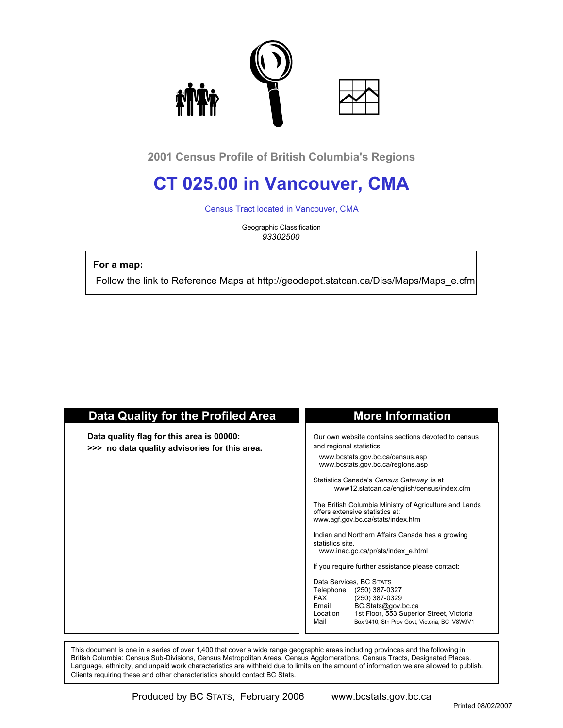

**2001 Census Profile of British Columbia's Regions**

# **CT 025.00 in Vancouver, CMA**

Census Tract located in Vancouver, CMA

Geographic Classification *93302500*

 **For a map:**

Follow the link to Reference Maps at http://geodepot.statcan.ca/Diss/Maps/Maps\_e.cfm

| <b>Data Quality for the Profiled Area</b>                                                  | <b>More Information</b>                                                                                                                                                                                                                                                                                                                                                                                                                                                                                                                                                                                                                                                                                                                                                                         |
|--------------------------------------------------------------------------------------------|-------------------------------------------------------------------------------------------------------------------------------------------------------------------------------------------------------------------------------------------------------------------------------------------------------------------------------------------------------------------------------------------------------------------------------------------------------------------------------------------------------------------------------------------------------------------------------------------------------------------------------------------------------------------------------------------------------------------------------------------------------------------------------------------------|
| Data quality flag for this area is 00000:<br>>>> no data quality advisories for this area. | Our own website contains sections devoted to census<br>and regional statistics.<br>www.bcstats.gov.bc.ca/census.asp<br>www.bcstats.gov.bc.ca/regions.asp<br>Statistics Canada's Census Gateway is at<br>www12.statcan.ca/english/census/index.cfm<br>The British Columbia Ministry of Agriculture and Lands<br>offers extensive statistics at:<br>www.agf.gov.bc.ca/stats/index.htm<br>Indian and Northern Affairs Canada has a growing<br>statistics site.<br>www.inac.gc.ca/pr/sts/index e.html<br>If you require further assistance please contact:<br>Data Services, BC STATS<br>Telephone<br>(250) 387-0327<br><b>FAX</b><br>(250) 387-0329<br>BC.Stats@gov.bc.ca<br>Email<br>1st Floor, 553 Superior Street, Victoria<br>Location<br>Mail<br>Box 9410. Stn Prov Govt. Victoria. BC V8W9V1 |

 This document is one in a series of over 1,400 that cover a wide range geographic areas including provinces and the following in British Columbia: Census Sub-Divisions, Census Metropolitan Areas, Census Agglomerations, Census Tracts, Designated Places. Language, ethnicity, and unpaid work characteristics are withheld due to limits on the amount of information we are allowed to publish. Clients requiring these and other characteristics should contact BC Stats.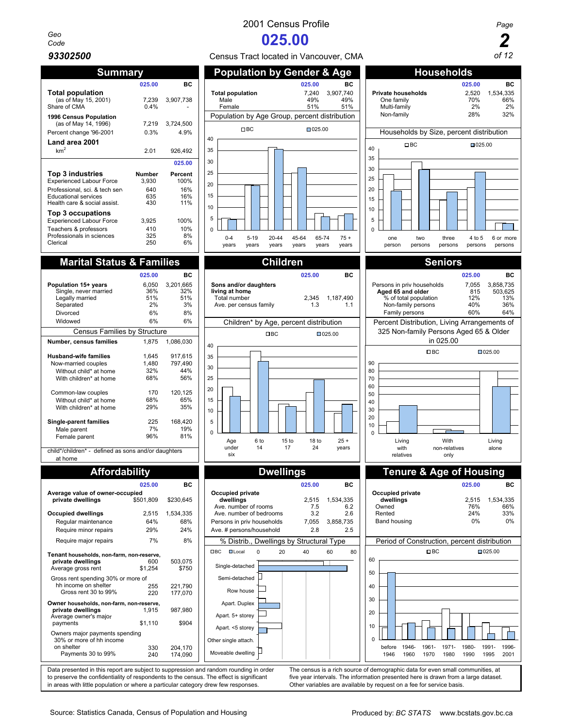# *Geo*

| Summarv                                                                                                                                             |                                      |                                      |  |  |  |
|-----------------------------------------------------------------------------------------------------------------------------------------------------|--------------------------------------|--------------------------------------|--|--|--|
|                                                                                                                                                     | 025.00                               | вc                                   |  |  |  |
| <b>Total population</b><br>(as of May 15, 2001)<br>Share of CMA                                                                                     | 7.239<br>0.4%                        | 3,907,738                            |  |  |  |
| 1996 Census Population<br>(as of May 14, 1996)<br>Percent change '96-2001                                                                           | 7,219<br>0.3%                        | 3,724,500<br>4.9%                    |  |  |  |
| Land area 2001                                                                                                                                      |                                      |                                      |  |  |  |
| km <sup>2</sup>                                                                                                                                     | 2.01                                 | 926,492                              |  |  |  |
|                                                                                                                                                     |                                      | 025.00                               |  |  |  |
| Top 3 industries<br><b>Experienced Labour Force</b><br>Professional, sci. & tech sen<br><b>Educational services</b><br>Health care & social assist. | Number<br>3,930<br>640<br>635<br>430 | Percent<br>100%<br>16%<br>16%<br>11% |  |  |  |
| Top 3 occupations<br><b>Experienced Labour Force</b><br>Teachers & professors<br>Professionals in sciences<br>Clerical                              | 3,925<br>410<br>325<br>250           | 100%<br>10%<br>8%<br>6%              |  |  |  |
|                                                                                                                                                     |                                      |                                      |  |  |  |

|                                                                               | 025.00                    | вc                            |
|-------------------------------------------------------------------------------|---------------------------|-------------------------------|
| Population 15+ years<br>Single, never married<br>Legally married<br>Separated | 6,050<br>36%<br>51%<br>2% | 3,201,665<br>32%<br>51%<br>3% |
| Divorced                                                                      | 6%                        | 8%                            |
| Widowed                                                                       | 6%                        | 6%                            |
| <b>Census Families by Structure</b>                                           |                           |                               |
| Number, census families                                                       | 1.875                     | 1,086,030                     |
| <b>Husband-wife families</b>                                                  | 1,645                     | 917,615                       |
| Now-married couples                                                           | 1,480                     | 797,490                       |
| Without child* at home                                                        | 32%                       | 44%                           |
| With children* at home                                                        | 68%                       | 56%                           |
| Common-law couples                                                            | 170                       | 120,125                       |
| Without child* at home                                                        | 68%                       | 65%                           |
| With children* at home                                                        | 29%                       | 35%                           |
| Single-parent families                                                        | 225                       | 168,420                       |
| Male parent                                                                   | 7%                        | 19%                           |
| Female parent                                                                 | 96%                       | 81%                           |

child\*/children\* - defined as sons and/or daughters at home

|                                                            | 025.00    | вc        |
|------------------------------------------------------------|-----------|-----------|
| Average value of owner-occupied                            |           |           |
| private dwellings                                          | \$501,809 | \$230,645 |
| <b>Occupied dwellings</b>                                  | 2,515     | 1,534,335 |
| Regular maintenance                                        | 64%       | 68%       |
| Require minor repairs                                      | 29%       | 24%       |
| Require major repairs                                      | 7%        | 8%        |
| Tenant households, non-farm, non-reserve,                  |           |           |
| private dwellings                                          | 600       | 503,075   |
| Average gross rent                                         | \$1,254   | \$750     |
| Gross rent spending 30% or more of                         |           |           |
| hh income on shelter                                       | 255       | 221.790   |
| Gross rent 30 to 99%                                       | 220       | 177,070   |
| Owner households, non-farm, non-reserve,                   |           |           |
| private dwellings<br>Average owner's major                 | 1.915     | 987,980   |
| payments                                                   | \$1,110   | \$904     |
| Owners major payments spending<br>30% or more of hh income |           |           |
| on shelter                                                 | 330       | 204.170   |
| Payments 30 to 99%                                         | 240       | 174,090   |



# *Code* **025.00 2**

*93302500* Census Tract located in Vancouver, CMA *of 12*



Data presented in this report are subject to suppression and random rounding in order The census is a rich source of demographic data for even small communities, at to preserve the confidentiality of respondents to the cen to preserve the confidentiality of respondents to the census. The effect is significant five year intervals. The information presented here is drawn from a large dataset in a reas with little population or where a particul in areas with little population or where a particular category drew few responses.

0 Other single attach. Hoveable dwelling

1961-

1971-



1946- 1960

before 1946

1961- 1970

1971- 1980 1980- 1990 1991- 1995

1996- 2001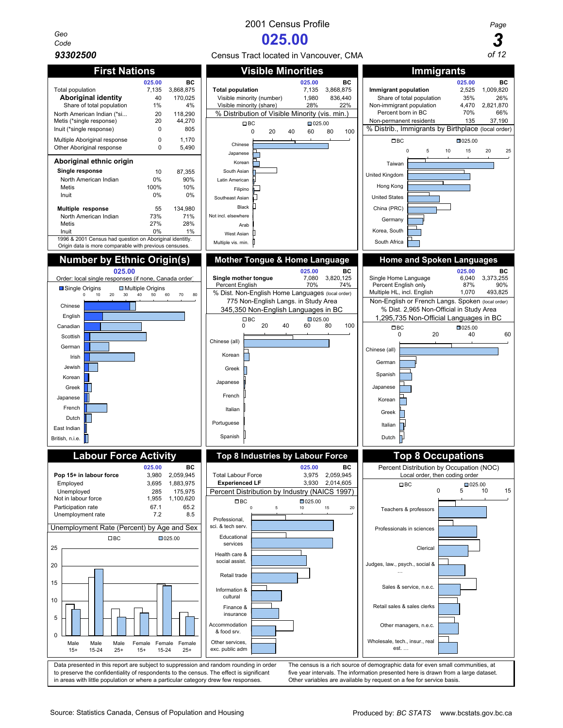*Geo*





**Chinese** Japanese Korean South Asian Latin American Filipino Southeast Asian Black

Arab West Asian Multiple vis. min.

Not incl. else



Order: local single responses (if none, Canada order) **Single mother tongue Canada order Single mother tongue 1,080** 3,820,125 Single Home Language 6,040 3,373,255 Single Home Language 6,040 3,373,255 Single Home Lan Percent English 70% 74% Percent English only 87% 97% Percent English only 87% 97% 97% % Dist. Non-English Home Languages (local order) | Multiple HL, incl. English 1,070 493,825 775 Non-English Langs. in Study Area Non-English or French Langs. Spoken (local order)<br>45.350 Non-English Languages in BC % Dist. 2,965 Non-Official in Study Area 345,350 Non-English Languages in BC **Labour Force Activity Top 8 Industries by Labour Force Top 8 Occupations 025.00 BC DEC BC DEC DEC BC DEC BC DEC DEC DEC DEC DEC DEC DEC DEC DEC DEC DEC DEC DEC DEC DEC DEC DEC DEC DEC DEC DEC DEC DEC DEC DEC DEC DEC DEC Pop 15+ in labour force** 3,980 2,059,945 | Total Labour Force 3,975 2,059,945 | Local order, then coding order Employed 3,695 1,883,975 **Experienced LF** 3,930 2,014,605 Unemployed 285 175,975 Percent Distribution by Industry (NAICS 1997)<br>Not in labour force 1.955 1.100.620 Not in labour force Participation rate 67.1 65.2 Unemployment rate 7.2 8.5 Unemployment Rate (Percent) by Age and Sex Data presented in this report are subject to suppression and random rounding in order The census is a rich source of demographic data for even small communities, at to preserve the confidentiality of respondents to the census. The effect is significant five year intervals. The information presented here is drawn from a large dataset.<br>in areas with little population or where a particul in areas with little population or where a particular category drew few responses. 0 10 20 30 40 50 60 70 80 Chinese English Canadian **Scottish** German Irish Jewish Korean Greek Japanese French Dutch East Indian British, n.i.e. **■ Single Origins Multiple Origins** 0 20 40 60 80 100 Chinese (all) Korean Greek Japanese French Italian Portuguese Spanish  $\Box$  BC  $\Box$  025.00  $\Omega$ 5 10 15 20 25 Male 15+ Male 15-24 Male 25+ Female 15+ Female 15-24 Female 25+ □BC □025.00 0 5 10 15 20 Professional, sci. & tech serv Educational services Health care & social assist. Retail trade Information & cultural Finance & insurance Accommodation & food srv. Other services, exc. public adm  $\Box$ BC  $\Box$ 025.00 Sales & service, n.e.c. Retail sales & sales clerks Other managers, n.e.c. Wholesale, tech., insur., real est. …

Source: Statistics Canada, Census of Population and Housing **Produced By:** *BC STATS* www.bcstats.gov.bc.ca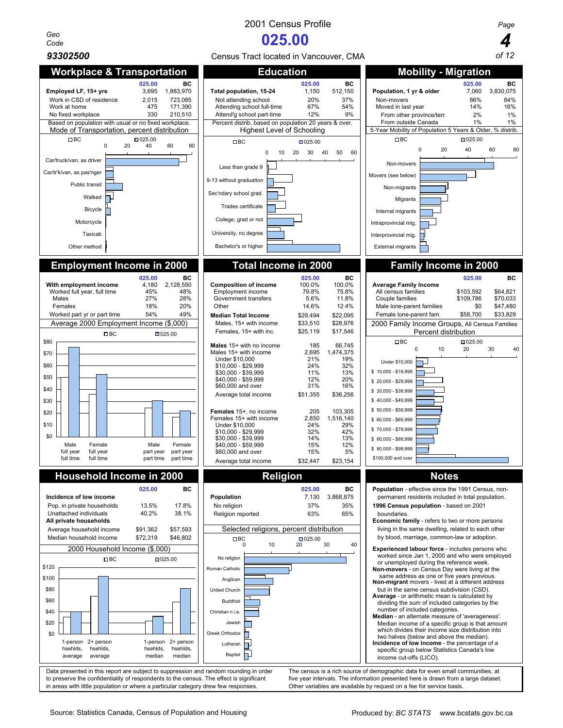*Geo*

## 2001 Census Profile *Page*





to preserve the confidentiality of respondents to the census. The effect is significant five year intervals. The information presented here is drawn from a large dataset.<br>in areas with little population or where a particul in areas with little population or where a particular category drew few responses.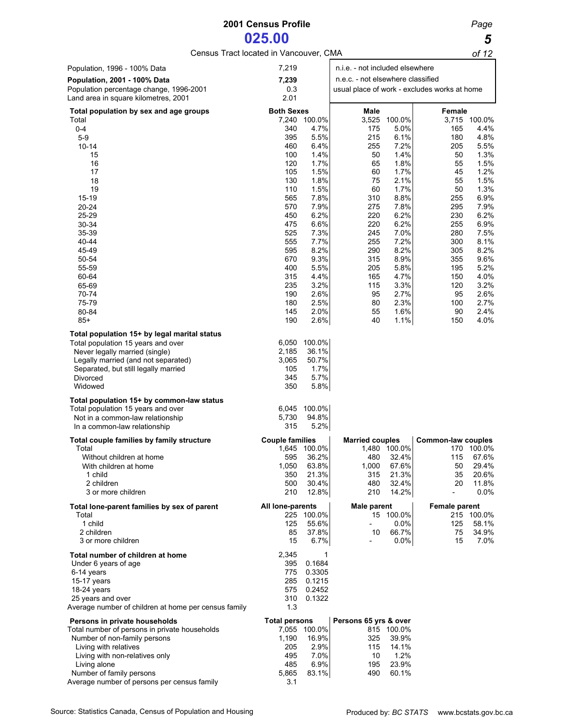# **2001 Census Profile** *Page* **025.00 5**<br> **bcated in Vancouver, CMA 66.12**

Census Tract located in Vancouver, CMA *of 12*

| Population, 1996 - 100% Data                                                   | 7,219                  |                      | n.i.e. - not included elsewhere   |                |                                              |                      |
|--------------------------------------------------------------------------------|------------------------|----------------------|-----------------------------------|----------------|----------------------------------------------|----------------------|
| <b>Population, 2001 - 100% Data</b>                                            | 7,239                  |                      | n.e.c. - not elsewhere classified |                |                                              |                      |
| Population percentage change, 1996-2001                                        | 0.3                    |                      |                                   |                | usual place of work - excludes works at home |                      |
| Land area in square kilometres, 2001                                           | 2.01                   |                      |                                   |                |                                              |                      |
| Total population by sex and age groups                                         | <b>Both Sexes</b>      |                      | Male                              |                | Female                                       |                      |
| Total<br>$0 - 4$                                                               | 340                    | 7,240 100.0%<br>4.7% | 3,525<br>175                      | 100.0%<br>5.0% | 165                                          | 3,715 100.0%<br>4.4% |
| $5-9$                                                                          | 395                    | 5.5%                 | 215                               | 6.1%           | 180                                          | 4.8%                 |
| $10 - 14$                                                                      | 460                    | 6.4%                 | 255                               | 7.2%           | 205                                          | 5.5%                 |
| 15                                                                             | 100                    | 1.4%                 | 50                                | 1.4%           | 50                                           | 1.3%                 |
| 16                                                                             | 120                    | 1.7%                 | 65                                | 1.8%           | 55                                           | 1.5%                 |
| 17                                                                             | 105                    | 1.5%                 | 60                                | 1.7%           | 45                                           | 1.2%                 |
| 18<br>19                                                                       | 130<br>110             | 1.8%<br>1.5%         | 75<br>60                          | 2.1%<br>1.7%   | 55<br>50                                     | 1.5%<br>1.3%         |
| $15 - 19$                                                                      | 565                    | 7.8%                 | 310                               | 8.8%           | 255                                          | 6.9%                 |
| 20-24                                                                          | 570                    | 7.9%                 | 275                               | 7.8%           | 295                                          | 7.9%                 |
| 25-29                                                                          | 450                    | 6.2%                 | 220                               | 6.2%           | 230                                          | 6.2%                 |
| $30 - 34$                                                                      | 475                    | 6.6%                 | 220                               | 6.2%           | 255                                          | 6.9%                 |
| 35-39                                                                          | 525                    | 7.3%                 | 245                               | 7.0%           | 280                                          | 7.5%                 |
| 40-44<br>45-49                                                                 | 555<br>595             | 7.7%<br>8.2%         | 255<br>290                        | 7.2%<br>8.2%   | 300<br>305                                   | 8.1%                 |
| 50-54                                                                          | 670                    | 9.3%                 | 315                               | 8.9%           | 355                                          | 8.2%<br>9.6%         |
| 55-59                                                                          | 400                    | 5.5%                 | 205                               | 5.8%           | 195                                          | 5.2%                 |
| 60-64                                                                          | 315                    | 4.4%                 | 165                               | 4.7%           | 150                                          | 4.0%                 |
| 65-69                                                                          | 235                    | 3.2%                 | 115                               | 3.3%           | 120                                          | 3.2%                 |
| 70-74                                                                          | 190                    | 2.6%                 | 95                                | 2.7%           | 95                                           | 2.6%                 |
| 75-79                                                                          | 180                    | 2.5%                 | 80                                | 2.3%           | 100                                          | 2.7%                 |
| 80-84                                                                          | 145                    | 2.0%                 | 55                                | 1.6%           | 90                                           | 2.4%                 |
| $85+$                                                                          | 190                    | 2.6%                 | 40                                | 1.1%           | 150                                          | 4.0%                 |
| Total population 15+ by legal marital status                                   |                        |                      |                                   |                |                                              |                      |
| Total population 15 years and over                                             | 6,050                  | 100.0%               |                                   |                |                                              |                      |
| Never legally married (single)                                                 | 2,185<br>3,065         | 36.1%<br>50.7%       |                                   |                |                                              |                      |
| Legally married (and not separated)<br>Separated, but still legally married    | 105                    | 1.7%                 |                                   |                |                                              |                      |
| Divorced                                                                       | 345                    | 5.7%                 |                                   |                |                                              |                      |
| Widowed                                                                        | 350                    | 5.8%                 |                                   |                |                                              |                      |
| Total population 15+ by common-law status                                      |                        |                      |                                   |                |                                              |                      |
| Total population 15 years and over                                             | 6,045                  | 100.0%               |                                   |                |                                              |                      |
| Not in a common-law relationship                                               | 5,730                  | 94.8%                |                                   |                |                                              |                      |
| In a common-law relationship                                                   | 315                    | 5.2%                 |                                   |                |                                              |                      |
| Total couple families by family structure                                      | <b>Couple families</b> |                      | <b>Married couples</b>            |                | <b>Common-law couples</b>                    |                      |
| Total                                                                          |                        | 1,645 100.0%         |                                   | 1,480 100.0%   |                                              | 170 100.0%           |
| Without children at home                                                       | 595                    | 36.2%                | 480                               | 32.4%          | 115                                          | 67.6%                |
| With children at home<br>1 child                                               | 1,050<br>350           | 63.8%<br>21.3%       | 1,000<br>315                      | 67.6%<br>21.3% | 50<br>35                                     | 29.4%<br>20.6%       |
| 2 children                                                                     | 500                    | 30.4%                | 480                               | 32.4%          | 20                                           | 11.8%                |
| 3 or more children                                                             | 210                    | 12.8%                | 210                               | 14.2%          | $\overline{\phantom{a}}$                     | 0.0%                 |
|                                                                                | All lone-parents       |                      | <b>Male parent</b>                |                | <b>Female parent</b>                         |                      |
| Total lone-parent families by sex of parent<br>Total                           |                        | 225 100.0%           |                                   | 15 100.0%      |                                              | 215 100.0%           |
| 1 child                                                                        | 125                    | 55.6%                | $\blacksquare$                    | $0.0\%$        | 125                                          | 58.1%                |
| 2 children                                                                     | 85                     | 37.8%                | 10                                | 66.7%          | 75                                           | 34.9%                |
| 3 or more children                                                             | 15                     | 6.7%                 |                                   | 0.0%           | 15                                           | 7.0%                 |
| Total number of children at home                                               | 2,345                  | 1                    |                                   |                |                                              |                      |
| Under 6 years of age                                                           | 395                    | 0.1684               |                                   |                |                                              |                      |
| 6-14 years                                                                     | 775                    | 0.3305               |                                   |                |                                              |                      |
| 15-17 years                                                                    | 285                    | 0.1215               |                                   |                |                                              |                      |
| 18-24 years<br>25 years and over                                               | 575<br>310             | 0.2452<br>0.1322     |                                   |                |                                              |                      |
| Average number of children at home per census family                           | 1.3                    |                      |                                   |                |                                              |                      |
|                                                                                |                        |                      |                                   |                |                                              |                      |
| Persons in private households<br>Total number of persons in private households | <b>Total persons</b>   | 7,055 100.0%         | Persons 65 yrs & over             | 815 100.0%     |                                              |                      |
| Number of non-family persons                                                   | 1,190                  | 16.9%                | 325                               | 39.9%          |                                              |                      |
| Living with relatives                                                          | 205                    | 2.9%                 | 115                               | 14.1%          |                                              |                      |
| Living with non-relatives only                                                 | 495                    | 7.0%                 | 10                                | 1.2%           |                                              |                      |
| Living alone                                                                   | 485                    | 6.9%                 | 195                               | 23.9%          |                                              |                      |
| Number of family persons                                                       | 5,865                  | 83.1%                | 490                               | 60.1%          |                                              |                      |
| Average number of persons per census family                                    | 3.1                    |                      |                                   |                |                                              |                      |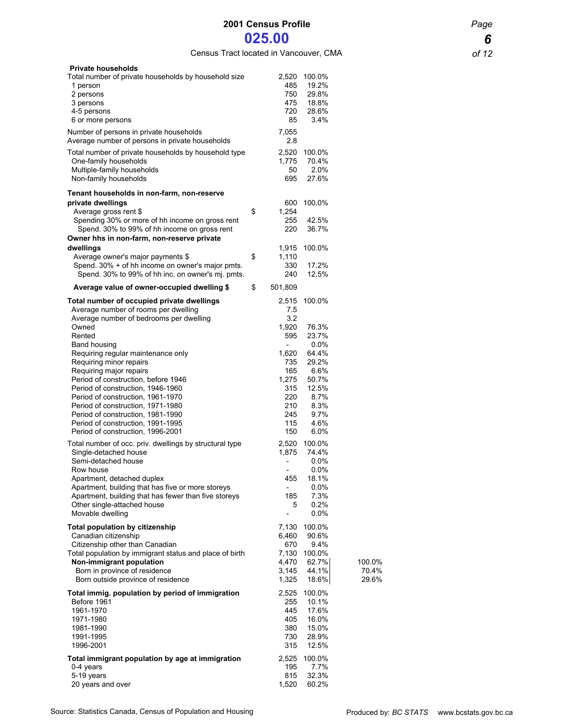Census Tract located in Vancouver, CMA *of 12*

| <b>Private households</b><br>Total number of private households by household size<br>1 person<br>2 persons<br>3 persons<br>4-5 persons<br>6 or more persons                                                                                                                                                                                             | 485<br>750<br>475<br>720<br>85                                                                                                                      | 2,520 100.0%<br>19.2%<br>29.8%<br>18.8%<br>28.6%<br>3.4%                                        |                          |
|---------------------------------------------------------------------------------------------------------------------------------------------------------------------------------------------------------------------------------------------------------------------------------------------------------------------------------------------------------|-----------------------------------------------------------------------------------------------------------------------------------------------------|-------------------------------------------------------------------------------------------------|--------------------------|
| Number of persons in private households<br>Average number of persons in private households                                                                                                                                                                                                                                                              | 7,055<br>2.8                                                                                                                                        |                                                                                                 |                          |
| Total number of private households by household type<br>One-family households<br>Multiple-family households<br>Non-family households                                                                                                                                                                                                                    | 2,520<br>1,775<br>50<br>695                                                                                                                         | 100.0%<br>70.4%<br>2.0%<br>27.6%                                                                |                          |
| Tenant households in non-farm, non-reserve<br>private dwellings<br>Average gross rent \$<br>Spending 30% or more of hh income on gross rent<br>Spend. 30% to 99% of hh income on gross rent<br>Owner hhs in non-farm, non-reserve private<br>dwellings                                                                                                  | \$<br>600<br>1,254<br>255<br>220<br>1,915                                                                                                           | 100.0%<br>42.5%<br>36.7%                                                                        |                          |
| Average owner's major payments \$<br>Spend. 30% + of hh income on owner's major pmts.                                                                                                                                                                                                                                                                   | \$<br>1,110<br>330                                                                                                                                  | 100.0%<br>17.2%                                                                                 |                          |
| Spend. 30% to 99% of hh inc. on owner's mj. pmts.                                                                                                                                                                                                                                                                                                       | 240                                                                                                                                                 | 12.5%                                                                                           |                          |
| Average value of owner-occupied dwelling \$<br>Total number of occupied private dwellings                                                                                                                                                                                                                                                               | \$<br>501,809<br>2,515                                                                                                                              | 100.0%                                                                                          |                          |
| Average number of rooms per dwelling<br>Average number of bedrooms per dwelling<br>Owned<br>Rented<br>Band housing<br>Requiring regular maintenance only                                                                                                                                                                                                | 7.5<br>3.2<br>1,920<br>595<br>$\overline{\phantom{0}}$<br>1,620                                                                                     | 76.3%<br>23.7%<br>$0.0\%$<br>64.4%                                                              |                          |
| Requiring minor repairs<br>Requiring major repairs<br>Period of construction, before 1946<br>Period of construction, 1946-1960<br>Period of construction, 1961-1970<br>Period of construction, 1971-1980<br>Period of construction, 1981-1990<br>Period of construction, 1991-1995                                                                      | 735<br>165<br>1,275<br>315<br>220<br>210<br>245<br>115                                                                                              | 29.2%<br>6.6%<br>50.7%<br>12.5%<br>8.7%<br>8.3%<br>9.7%<br>4.6%                                 |                          |
| Period of construction, 1996-2001<br>Total number of occ. priv. dwellings by structural type<br>Single-detached house<br>Semi-detached house<br>Row house<br>Apartment, detached duplex<br>Apartment, building that has five or more storeys<br>Apartment, building that has fewer than five storeys<br>Other single-attached house<br>Movable dwelling | 150<br>1,875<br>$\overline{\phantom{a}}$<br>$\overline{\phantom{a}}$<br>455<br>$\overline{\phantom{a}}$<br>185<br>5<br>$\qquad \qquad \blacksquare$ | 6.0%<br>2,520 100.0%<br>74.4%<br>$0.0\%$<br>0.0%<br>18.1%<br>$0.0\%$<br>7.3%<br>0.2%<br>$0.0\%$ |                          |
| <b>Total population by citizenship</b><br>Canadian citizenship<br>Citizenship other than Canadian<br>Total population by immigrant status and place of birth<br>Non-immigrant population<br>Born in province of residence<br>Born outside province of residence                                                                                         | 7,130<br>6,460<br>670<br>7,130<br>4,470<br>3,145<br>1,325                                                                                           | 100.0%<br>90.6%<br>9.4%<br>100.0%<br>62.7%<br>44.1%<br>18.6%                                    | 100.0%<br>70.4%<br>29.6% |
| Total immig. population by period of immigration<br>Before 1961<br>1961-1970<br>1971-1980<br>1981-1990<br>1991-1995<br>1996-2001                                                                                                                                                                                                                        | 2,525<br>255<br>445<br>405<br>380<br>730<br>315                                                                                                     | 100.0%<br>10.1%<br>17.6%<br>16.0%<br>15.0%<br>28.9%<br>12.5%                                    |                          |
| Total immigrant population by age at immigration<br>0-4 years<br>5-19 years<br>20 years and over                                                                                                                                                                                                                                                        | 2,525<br>195<br>815<br>1,520                                                                                                                        | 100.0%<br>7.7%<br>32.3%<br>60.2%                                                                |                          |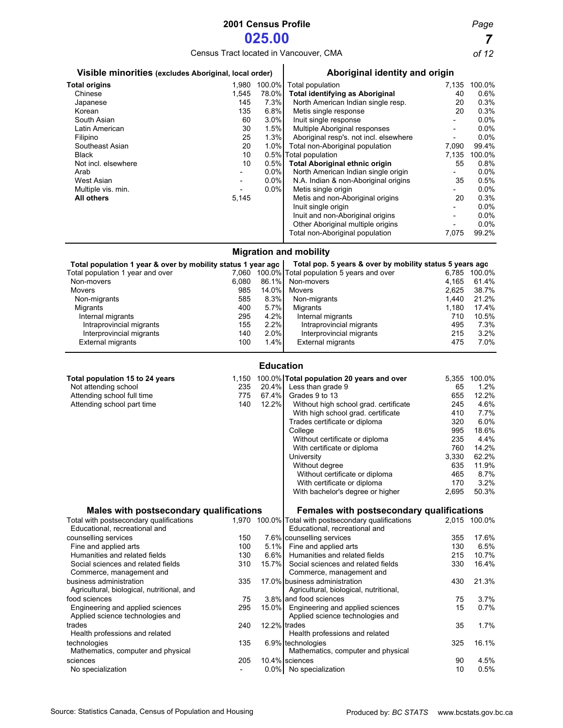# **2001 Census Profile** *Page*

**025.00 7**<br> **1** *7 Pocated in Vancouver, CMA**of 12* Census Tract located in Vancouver, CMA

| Visible minorities (excludes Aboriginal, local order)        |       |                  | Aboriginal identity and origin                           |                          |              |  |  |
|--------------------------------------------------------------|-------|------------------|----------------------------------------------------------|--------------------------|--------------|--|--|
| <b>Total origins</b>                                         |       | 1,980 100.0%     | Total population                                         |                          | 7,135 100.0% |  |  |
| Chinese                                                      | 1,545 | 78.0%            | <b>Total identifying as Aboriginal</b>                   | 40                       | 0.6%         |  |  |
| Japanese                                                     | 145   | 7.3%             | North American Indian single resp.                       | 20                       | 0.3%         |  |  |
| Korean                                                       | 135   | 6.8%             | Metis single response                                    | 20                       | 0.3%         |  |  |
| South Asian                                                  | 60    | 3.0%             | Inuit single response                                    |                          | 0.0%         |  |  |
| Latin American                                               | 30    | 1.5%             | Multiple Aboriginal responses                            |                          | 0.0%         |  |  |
| Filipino                                                     | 25    | 1.3%             | Aboriginal resp's. not incl. elsewhere                   | $\overline{\phantom{a}}$ | 0.0%         |  |  |
| Southeast Asian                                              | 20    | 1.0%             | Total non-Aboriginal population                          | 7,090                    | 99.4%        |  |  |
| <b>Black</b>                                                 | 10    | 0.5%             | Total population                                         | 7,135                    | 100.0%       |  |  |
| Not incl. elsewhere                                          | 10    | 0.5%             | <b>Total Aboriginal ethnic origin</b>                    | 55                       | 0.8%         |  |  |
| Arab                                                         |       | 0.0%             | North American Indian single origin                      | $\overline{\phantom{a}}$ | 0.0%         |  |  |
| <b>West Asian</b>                                            |       | 0.0%             | N.A. Indian & non-Aboriginal origins                     | 35                       | 0.5%         |  |  |
| Multiple vis. min.                                           |       | 0.0%             | Metis single origin                                      |                          | 0.0%         |  |  |
| <b>All others</b>                                            | 5,145 |                  | Metis and non-Aboriginal origins                         | 20                       | 0.3%         |  |  |
|                                                              |       |                  | Inuit single origin                                      |                          | 0.0%         |  |  |
|                                                              |       |                  | Inuit and non-Aboriginal origins                         |                          | 0.0%         |  |  |
|                                                              |       |                  | Other Aboriginal multiple origins                        | $\overline{a}$           | 0.0%         |  |  |
|                                                              |       |                  | Total non-Aboriginal population                          | 7,075                    | 99.2%        |  |  |
|                                                              |       |                  | <b>Migration and mobility</b>                            |                          |              |  |  |
| Total population 1 year & over by mobility status 1 year ago |       |                  | Total pop. 5 years & over by mobility status 5 years ago |                          |              |  |  |
| Total population 1 year and over                             |       |                  | 7,060 100.0% Total population 5 years and over           |                          | 6,785 100.0% |  |  |
| Non-movers                                                   | 6,080 | 86.1%            | Non-movers                                               | 4,165                    | 61.4%        |  |  |
| Movers                                                       | 985   | 14.0%            | Movers                                                   | 2,625                    | 38.7%        |  |  |
| Non-migrants                                                 | 585   | 8.3%             | Non-migrants                                             | 1,440                    | 21.2%        |  |  |
| Migrants                                                     | 400   | 5.7%             | Migrants                                                 | 1,180                    | 17.4%        |  |  |
| Internal migrants                                            | 295   | 4.2%             | Internal migrants                                        | 710                      | 10.5%        |  |  |
| Intraprovincial migrants                                     | 155   | 2.2%             | Intraprovincial migrants                                 | 495                      | 7.3%         |  |  |
| Interprovincial migrants                                     | 140   | 2.0%             | Interprovincial migrants                                 | 215                      | 3.2%         |  |  |
| <b>External migrants</b>                                     | 100   | 1.4%             | <b>External migrants</b>                                 | 475                      | 7.0%         |  |  |
|                                                              |       | <b>Education</b> |                                                          |                          |              |  |  |
| Total population 15 to 24 years                              | 1,150 |                  | 100.0% Total population 20 years and over                | 5,355                    | 100.0%       |  |  |
| Not attending school                                         | 235   |                  | 20.4% Less than grade 9                                  | 65                       | 1.2%         |  |  |
| Attending school full time                                   | 775   |                  | 67.4% Grades 9 to 13                                     | 655                      | 12.2%        |  |  |

| Attending school full time                     | 775 | 67.4%    | Grades 9 to 13                                       | 655   | 12.2%        |  |
|------------------------------------------------|-----|----------|------------------------------------------------------|-------|--------------|--|
| Attending school part time                     | 140 | 12.2%    | Without high school grad. certificate                | 245   | 4.6%         |  |
|                                                |     |          | With high school grad. certificate                   | 410   | 7.7%         |  |
|                                                |     |          | Trades certificate or diploma                        | 320   | 6.0%         |  |
|                                                |     |          | College                                              | 995   | 18.6%        |  |
|                                                |     |          | Without certificate or diploma                       | 235   | 4.4%         |  |
|                                                |     |          | With certificate or diploma                          | 760   | 14.2%        |  |
|                                                |     |          | University                                           | 3,330 | 62.2%        |  |
|                                                |     |          | Without degree                                       | 635   | 11.9%        |  |
|                                                |     |          | Without certificate or diploma                       | 465   | 8.7%         |  |
|                                                |     |          | With certificate or diploma                          | 170   | 3.2%         |  |
|                                                |     |          | With bachelor's degree or higher                     | 2,695 | 50.3%        |  |
| <b>Males with postsecondary qualifications</b> |     |          | Females with postsecondary qualifications            |       |              |  |
| Total with postsecondary qualifications        |     |          | 1,970 100.0% Total with postsecondary qualifications |       | 2.015 100.0% |  |
| Educational, recreational and                  |     |          | Educational, recreational and                        |       |              |  |
| counselling services                           | 150 |          | 7.6% counselling services                            | 355   | 17.6%        |  |
| Fine and applied arts                          | 100 |          | 5.1% Fine and applied arts                           | 130   | 6.5%         |  |
| Humanities and related fields                  | 130 | 6.6%     | Humanities and related fields                        | 215   | 10.7%        |  |
| Social sciences and related fields             | 310 | $15.7\%$ | Social sciences and related fields                   | 330   | 16.4%        |  |
| Commerce, management and                       |     |          | Commerce, management and                             |       |              |  |
| business administration                        | 335 |          | 17.0% business administration                        | 430   | 21.3%        |  |
| Agricultural, biological, nutritional, and     |     |          | Agricultural, biological, nutritional,               |       |              |  |
| food sciences                                  | 75  |          | 3.8% and food sciences                               | 75    | 3.7%         |  |
| Engineering and applied sciences               | 295 |          | 15.0% Engineering and applied sciences               | 15    | 0.7%         |  |
| Applied science technologies and               |     |          | Applied science technologies and                     |       |              |  |
| trades                                         | 240 |          | 12.2% trades                                         | 35    | 1.7%         |  |
| Health professions and related                 |     |          | Health professions and related                       |       |              |  |
| technologies                                   | 135 |          | 6.9% technologies                                    | 325   | 16.1%        |  |
| Mathematics, computer and physical             |     |          | Mathematics, computer and physical                   |       |              |  |
| sciences                                       | 205 |          | 10.4% sciences                                       | 90    | 4.5%         |  |
| No specialization                              |     |          | 0.0% No specialization                               | 10    | 0.5%         |  |
|                                                |     |          |                                                      |       |              |  |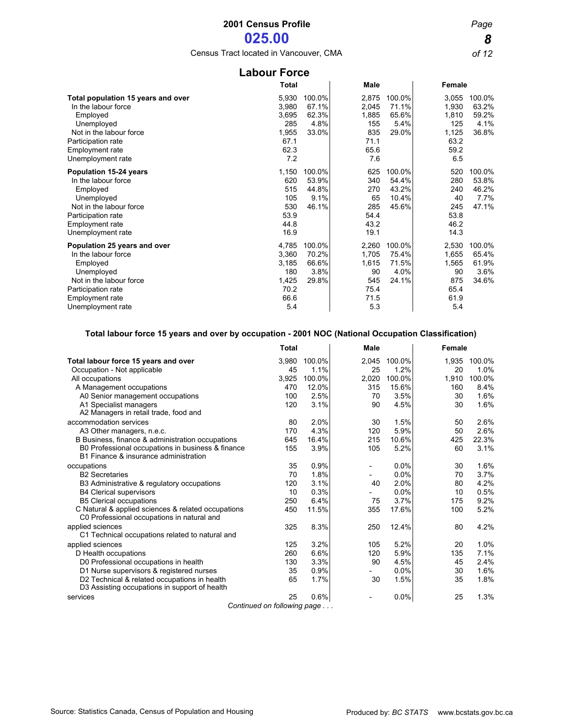Census Tract located in Vancouver, CMA *of 12*

| <b>Labour Force</b>                                                                                                                                                                 |                                                                |                                           |                                                              |                                            |                                                                |                                           |  |  |
|-------------------------------------------------------------------------------------------------------------------------------------------------------------------------------------|----------------------------------------------------------------|-------------------------------------------|--------------------------------------------------------------|--------------------------------------------|----------------------------------------------------------------|-------------------------------------------|--|--|
|                                                                                                                                                                                     | <b>Total</b>                                                   |                                           | <b>Male</b>                                                  |                                            | Female                                                         |                                           |  |  |
| Total population 15 years and over<br>In the labour force<br>Employed<br>Unemployed<br>Not in the labour force<br>Participation rate<br><b>Employment rate</b><br>Unemployment rate | 5,930<br>3,980<br>3,695<br>285<br>1,955<br>67.1<br>62.3<br>7.2 | 100.0%<br>67.1%<br>62.3%<br>4.8%<br>33.0% | 2,875<br>2,045<br>1,885<br>155<br>835<br>71.1<br>65.6<br>7.6 | 100.0%<br>71.1%<br>65.6%<br>5.4%<br>29.0%  | 3,055<br>1,930<br>1,810<br>125<br>1,125<br>63.2<br>59.2<br>6.5 | 100.0%<br>63.2%<br>59.2%<br>4.1%<br>36.8% |  |  |
| Population 15-24 years<br>In the labour force<br>Employed<br>Unemployed<br>Not in the labour force<br>Participation rate<br><b>Employment rate</b><br>Unemployment rate             | 1,150<br>620<br>515<br>105<br>530<br>53.9<br>44.8<br>16.9      | 100.0%<br>53.9%<br>44.8%<br>9.1%<br>46.1% | 625<br>340<br>270<br>65<br>285<br>54.4<br>43.2<br>19.1       | 100.0%<br>54.4%<br>43.2%<br>10.4%<br>45.6% | 520<br>280<br>240<br>40<br>245<br>53.8<br>46.2<br>14.3         | 100.0%<br>53.8%<br>46.2%<br>7.7%<br>47.1% |  |  |
| Population 25 years and over<br>In the labour force<br>Employed<br>Unemployed<br>Not in the labour force<br>Participation rate<br>Employment rate<br>Unemployment rate              | 4,785<br>3,360<br>3,185<br>180<br>1,425<br>70.2<br>66.6<br>5.4 | 100.0%<br>70.2%<br>66.6%<br>3.8%<br>29.8% | 2,260<br>1,705<br>1,615<br>90<br>545<br>75.4<br>71.5<br>5.3  | 100.0%<br>75.4%<br>71.5%<br>4.0%<br>24.1%  | 2,530<br>1,655<br>1,565<br>90<br>875<br>65.4<br>61.9<br>5.4    | 100.0%<br>65.4%<br>61.9%<br>3.6%<br>34.6% |  |  |

### **Total labour force 15 years and over by occupation - 2001 NOC (National Occupation Classification)**

|                                                                                                  | <b>Total</b>                 |        | <b>Male</b>              |        | Female |        |
|--------------------------------------------------------------------------------------------------|------------------------------|--------|--------------------------|--------|--------|--------|
| Total labour force 15 years and over                                                             | 3.980                        | 100.0% | 2,045                    | 100.0% | 1.935  | 100.0% |
| Occupation - Not applicable                                                                      | 45                           | 1.1%   | 25                       | 1.2%   | 20     | 1.0%   |
| All occupations                                                                                  | 3,925                        | 100.0% | 2,020                    | 100.0% | 1,910  | 100.0% |
| A Management occupations                                                                         | 470                          | 12.0%  | 315                      | 15.6%  | 160    | 8.4%   |
| A0 Senior management occupations                                                                 | 100                          | 2.5%   | 70                       | 3.5%   | 30     | 1.6%   |
| A1 Specialist managers                                                                           | 120                          | 3.1%   | 90                       | 4.5%   | 30     | 1.6%   |
| A2 Managers in retail trade, food and                                                            |                              |        |                          |        |        |        |
| accommodation services                                                                           | 80                           | 2.0%   | 30                       | 1.5%   | 50     | 2.6%   |
| A3 Other managers, n.e.c.                                                                        | 170                          | 4.3%   | 120                      | 5.9%   | 50     | 2.6%   |
| B Business, finance & administration occupations                                                 | 645                          | 16.4%  | 215                      | 10.6%  | 425    | 22.3%  |
| B0 Professional occupations in business & finance<br>B1 Finance & insurance administration       | 155                          | 3.9%   | 105                      | 5.2%   | 60     | 3.1%   |
| occupations                                                                                      | 35                           | 0.9%   | $\overline{\phantom{a}}$ | 0.0%   | 30     | 1.6%   |
| <b>B2 Secretaries</b>                                                                            | 70                           | 1.8%   |                          | 0.0%   | 70     | 3.7%   |
| B3 Administrative & regulatory occupations                                                       | 120                          | 3.1%   | 40                       | 2.0%   | 80     | 4.2%   |
| <b>B4 Clerical supervisors</b>                                                                   | 10                           | 0.3%   |                          | 0.0%   | 10     | 0.5%   |
| <b>B5 Clerical occupations</b>                                                                   | 250                          | 6.4%   | 75                       | 3.7%   | 175    | 9.2%   |
| C Natural & applied sciences & related occupations<br>C0 Professional occupations in natural and | 450                          | 11.5%  | 355                      | 17.6%  | 100    | 5.2%   |
| applied sciences                                                                                 | 325                          | 8.3%   | 250                      | 12.4%  | 80     | 4.2%   |
| C1 Technical occupations related to natural and                                                  |                              |        |                          |        |        |        |
| applied sciences                                                                                 | 125                          | 3.2%   | 105                      | 5.2%   | 20     | 1.0%   |
| D Health occupations                                                                             | 260                          | 6.6%   | 120                      | 5.9%   | 135    | 7.1%   |
| D0 Professional occupations in health                                                            | 130                          | 3.3%   | 90                       | 4.5%   | 45     | 2.4%   |
| D1 Nurse supervisors & registered nurses                                                         | 35                           | 0.9%   |                          | 0.0%   | 30     | 1.6%   |
| D2 Technical & related occupations in health                                                     | 65                           | 1.7%   | 30                       | 1.5%   | 35     | 1.8%   |
| D3 Assisting occupations in support of health                                                    |                              |        |                          |        |        |        |
| services                                                                                         | 25                           | 0.6%   |                          | 0.0%   | 25     | 1.3%   |
|                                                                                                  | Continued on following page. |        |                          |        |        |        |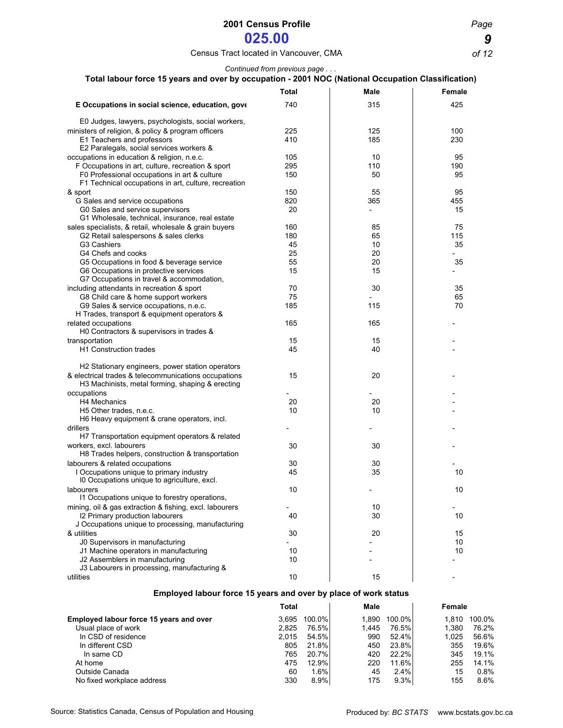## Census Tract located in Vancouver, CMA *of 12*

### *Continued from previous page . . .*

| Total labour force 15 years and over by occupation - 2001 NOC (National Occupation Classification)       |              |                          |               |
|----------------------------------------------------------------------------------------------------------|--------------|--------------------------|---------------|
|                                                                                                          | <b>Total</b> | <b>Male</b>              | <b>Female</b> |
| E Occupations in social science, education, gove                                                         | 740          | 315                      | 425           |
| E0 Judges, lawyers, psychologists, social workers,                                                       |              |                          |               |
| ministers of religion, & policy & program officers                                                       | 225          | 125                      | 100           |
| E1 Teachers and professors<br>E2 Paralegals, social services workers &                                   | 410          | 185                      | 230           |
| occupations in education & religion, n.e.c.                                                              | 105          | 10                       | 95            |
| F Occupations in art, culture, recreation & sport                                                        | 295          | 110                      | 190           |
| F0 Professional occupations in art & culture<br>F1 Technical occupations in art, culture, recreation     | 150          | 50                       | 95            |
| & sport                                                                                                  | 150          | 55                       | 95            |
| G Sales and service occupations                                                                          | 820          | 365                      | 455           |
| G0 Sales and service supervisors<br>G1 Wholesale, technical, insurance, real estate                      | 20           | $\overline{\phantom{a}}$ | 15            |
| sales specialists, & retail, wholesale & grain buyers                                                    | 160          | 85                       | 75            |
| G2 Retail salespersons & sales clerks                                                                    | 180          | 65                       | 115           |
| G3 Cashiers                                                                                              | 45           | 10                       | 35            |
| G4 Chefs and cooks                                                                                       | 25           | 20                       |               |
| G5 Occupations in food & beverage service                                                                | 55           | 20                       | 35            |
| G6 Occupations in protective services<br>G7 Occupations in travel & accommodation,                       | 15           | 15                       |               |
| including attendants in recreation & sport                                                               | 70           | 30                       | 35            |
| G8 Child care & home support workers                                                                     | 75           |                          | 65            |
| G9 Sales & service occupations, n.e.c.<br>H Trades, transport & equipment operators &                    | 185          | 115                      | 70            |
| related occupations<br>H0 Contractors & supervisors in trades &                                          | 165          | 165                      |               |
| transportation                                                                                           | 15           | 15                       |               |
| <b>H1 Construction trades</b>                                                                            | 45           | 40                       |               |
| H2 Stationary engineers, power station operators                                                         |              |                          |               |
| & electrical trades & telecommunications occupations<br>H3 Machinists, metal forming, shaping & erecting | 15           | 20                       |               |
| occupations                                                                                              |              |                          |               |
| H4 Mechanics                                                                                             | 20           | 20                       |               |
| H <sub>5</sub> Other trades, n.e.c.                                                                      | 10           | 10                       |               |
| H6 Heavy equipment & crane operators, incl.                                                              |              |                          |               |
| drillers                                                                                                 |              |                          |               |
| H7 Transportation equipment operators & related                                                          |              |                          |               |
| workers, excl. labourers<br>H8 Trades helpers, construction & transportation                             | 30           | 30                       |               |
| labourers & related occupations                                                                          | 30           | 30                       |               |
| I Occupations unique to primary industry<br>10 Occupations unique to agriculture, excl.                  | 45           | 35                       | 10            |
| labourers                                                                                                | $10$         |                          | 10            |
| 11 Occupations unique to forestry operations,                                                            |              |                          |               |
| mining, oil & gas extraction & fishing, excl. labourers                                                  |              | 10                       |               |
| 12 Primary production labourers                                                                          | 40           | 30                       | 10            |
| J Occupations unique to processing, manufacturing                                                        |              |                          |               |
| & utilities                                                                                              | 30           | 20                       | 15            |
| J0 Supervisors in manufacturing                                                                          |              |                          | 10            |
| J1 Machine operators in manufacturing                                                                    | 10           |                          | 10            |
| J2 Assemblers in manufacturing                                                                           | 10           |                          |               |
| J3 Labourers in processing, manufacturing &                                                              |              |                          |               |
| utilities                                                                                                | 10           | 15                       |               |
| Employed labour force 15 years and over by place of work status                                          |              |                          |               |
|                                                                                                          | <b>Total</b> | Male                     | Female        |

|                                         | ι υιαι |        | Marc  |          | гептате |        |
|-----------------------------------------|--------|--------|-------|----------|---------|--------|
| Employed labour force 15 years and over | 3.695  | 100.0% | 1.890 | 100.0%   | 1.810   | 100.0% |
| Usual place of work                     | 2.825  | 76.5%  | 1.445 | 76.5%l   | 1.380   | 76.2%  |
| In CSD of residence                     | 2.015  | 54.5%I | 990   | 52.4%    | 1.025   | 56.6%  |
| In different CSD                        | 805    | 21.8%  | 450   | 23.8%    | 355     | 19.6%  |
| In same CD                              | 765    | 20.7%  | 420   | 22.2%    | 345     | 19.1%  |
| At home                                 | 475    | 12.9%  | 220   | $11.6\%$ | 255     | 14.1%  |
| Outside Canada                          | 60     | 1.6%   | 45    | 2.4%     | 15      | 0.8%   |
| No fixed workplace address              | 330    | 8.9%   | 175   | 9.3%     | 155     | 8.6%   |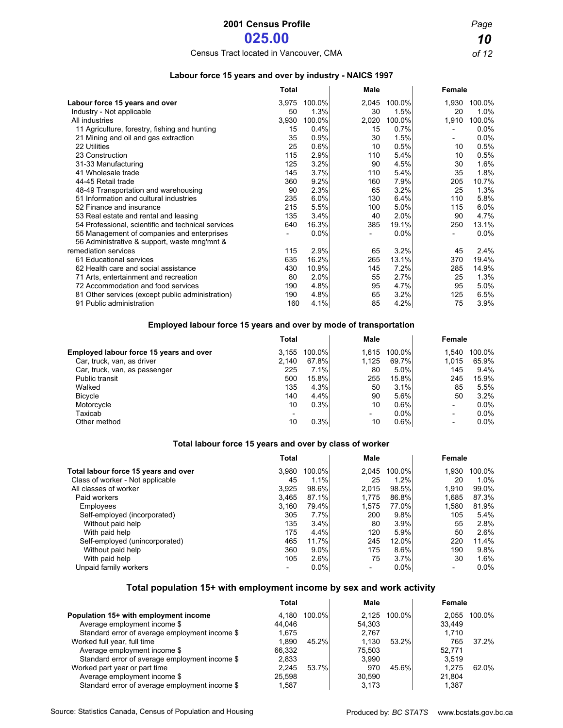# Census Tract located in Vancouver, CMA *of 12*

### **Labour force 15 years and over by industry - NAICS 1997**

|                                                                                            | <b>Total</b> |        | <b>Male</b> |        | Female |         |
|--------------------------------------------------------------------------------------------|--------------|--------|-------------|--------|--------|---------|
| Labour force 15 years and over                                                             | 3,975        | 100.0% | 2,045       | 100.0% | 1,930  | 100.0%  |
| Industry - Not applicable                                                                  | 50           | 1.3%   | 30          | 1.5%   | 20     | $1.0\%$ |
| All industries                                                                             | 3,930        | 100.0% | 2,020       | 100.0% | 1,910  | 100.0%  |
| 11 Agriculture, forestry, fishing and hunting                                              | 15           | 0.4%   | 15          | 0.7%   |        | $0.0\%$ |
| 21 Mining and oil and gas extraction                                                       | 35           | 0.9%   | 30          | 1.5%   |        | 0.0%    |
| 22 Utilities                                                                               | 25           | 0.6%   | 10          | 0.5%   | 10     | 0.5%    |
| 23 Construction                                                                            | 115          | 2.9%   | 110         | 5.4%   | 10     | 0.5%    |
| 31-33 Manufacturing                                                                        | 125          | 3.2%   | 90          | 4.5%   | 30     | 1.6%    |
| 41 Wholesale trade                                                                         | 145          | 3.7%   | 110         | 5.4%   | 35     | 1.8%    |
| 44-45 Retail trade                                                                         | 360          | 9.2%   | 160         | 7.9%   | 205    | 10.7%   |
| 48-49 Transportation and warehousing                                                       | 90           | 2.3%   | 65          | 3.2%   | 25     | 1.3%    |
| 51 Information and cultural industries                                                     | 235          | 6.0%   | 130         | 6.4%   | 110    | 5.8%    |
| 52 Finance and insurance                                                                   | 215          | 5.5%   | 100         | 5.0%   | 115    | 6.0%    |
| 53 Real estate and rental and leasing                                                      | 135          | 3.4%   | 40          | 2.0%   | 90     | 4.7%    |
| 54 Professional, scientific and technical services                                         | 640          | 16.3%  | 385         | 19.1%  | 250    | 13.1%   |
| 55 Management of companies and enterprises<br>56 Administrative & support, waste mng'mnt & |              | 0.0%   |             | 0.0%   |        | $0.0\%$ |
| remediation services                                                                       | 115          | 2.9%   | 65          | 3.2%   | 45     | 2.4%    |
| 61 Educational services                                                                    | 635          | 16.2%  | 265         | 13.1%  | 370    | 19.4%   |
| 62 Health care and social assistance                                                       | 430          | 10.9%  | 145         | 7.2%   | 285    | 14.9%   |
| 71 Arts, entertainment and recreation                                                      | 80           | 2.0%   | 55          | 2.7%   | 25     | 1.3%    |
| 72 Accommodation and food services                                                         | 190          | 4.8%   | 95          | 4.7%   | 95     | 5.0%    |
| 81 Other services (except public administration)                                           | 190          | 4.8%   | 65          | 3.2%   | 125    | 6.5%    |
| 91 Public administration                                                                   | 160          | 4.1%   | 85          | 4.2%   | 75     | 3.9%    |

### **Employed labour force 15 years and over by mode of transportation**

|                                         | <b>Total</b> |          | Male                     |         | Female                   |        |
|-----------------------------------------|--------------|----------|--------------------------|---------|--------------------------|--------|
| Employed labour force 15 years and over | 3.155        | 100.0%   | 1.615                    | 100.0%  | 1.540                    | 100.0% |
| Car, truck, van, as driver              | 2.140        | 67.8%    | 1.125                    | 69.7%   | 1,015                    | 65.9%  |
| Car, truck, van, as passenger           | 225          | 7.1%     | 80                       | 5.0%    | 145                      | 9.4%   |
| <b>Public transit</b>                   | 500          | $15.8\%$ | 255                      | 15.8%   | 245                      | 15.9%  |
| Walked                                  | 135          | 4.3%     | 50                       | 3.1%    | 85                       | 5.5%   |
| <b>Bicycle</b>                          | 140          | 4.4%     | 90                       | 5.6%    | 50                       | 3.2%   |
| Motorcycle                              | 10           | 0.3%     | 10                       | 0.6%    | $\overline{\phantom{0}}$ | 0.0%   |
| Taxicab                                 |              |          | $\overline{\phantom{0}}$ | $0.0\%$ | $\overline{\phantom{a}}$ | 0.0%   |
| Other method                            | 10           | 0.3%     | 10                       | $0.6\%$ | $\overline{\phantom{a}}$ | 0.0%   |

### **Total labour force 15 years and over by class of worker**

|                                      | Total                    |         | Male  |         | Female |        |
|--------------------------------------|--------------------------|---------|-------|---------|--------|--------|
| Total labour force 15 years and over | 3.980                    | 100.0%  | 2.045 | 100.0%  | 1.930  | 100.0% |
| Class of worker - Not applicable     | 45                       | $1.1\%$ | 25    | 1.2%    | 20     | 1.0%   |
| All classes of worker                | 3.925                    | 98.6%   | 2.015 | 98.5%   | 1.910  | 99.0%  |
| Paid workers                         | 3.465                    | 87.1%   | 1.775 | 86.8%   | 1.685  | 87.3%  |
| Employees                            | 3.160                    | 79.4%   | 1.575 | 77.0%   | 1,580  | 81.9%  |
| Self-employed (incorporated)         | 305                      | $7.7\%$ | 200   | 9.8%    | 105    | 5.4%   |
| Without paid help                    | 135                      | 3.4%    | 80    | 3.9%    | 55     | 2.8%   |
| With paid help                       | 175                      | 4.4%    | 120   | 5.9%    | 50     | 2.6%   |
| Self-employed (unincorporated)       | 465                      | 11.7%   | 245   | 12.0%   | 220    | 11.4%  |
| Without paid help                    | 360                      | $9.0\%$ | 175   | 8.6%    | 190    | 9.8%   |
| With paid help                       | 105                      | 2.6%    | 75    | 3.7%    | 30     | 1.6%   |
| Unpaid family workers                | $\overline{\phantom{0}}$ | $0.0\%$ |       | $0.0\%$ |        | 0.0%   |

### **Total population 15+ with employment income by sex and work activity**

|                                                | Total  |              | Male   |        | Female |        |
|------------------------------------------------|--------|--------------|--------|--------|--------|--------|
| Population 15+ with employment income          |        | 4.180 100.0% | 2.125  | 100.0% | 2.055  | 100.0% |
| Average employment income \$                   | 44.046 |              | 54.303 |        | 33.449 |        |
| Standard error of average employment income \$ | 1.675  |              | 2.767  |        | 1.710  |        |
| Worked full year, full time                    | 1.890  | 45.2%        | 1.130  | 53.2%  | 765    | 37.2%  |
| Average employment income \$                   | 66.332 |              | 75.503 |        | 52.771 |        |
| Standard error of average employment income \$ | 2.833  |              | 3.990  |        | 3.519  |        |
| Worked part year or part time                  | 2.245  | 53.7%I       | 970    | 45.6%  | 1.275  | 62.0%  |
| Average employment income \$                   | 25.598 |              | 30.590 |        | 21.804 |        |
| Standard error of average employment income \$ | 1.587  |              | 3.173  |        | 1.387  |        |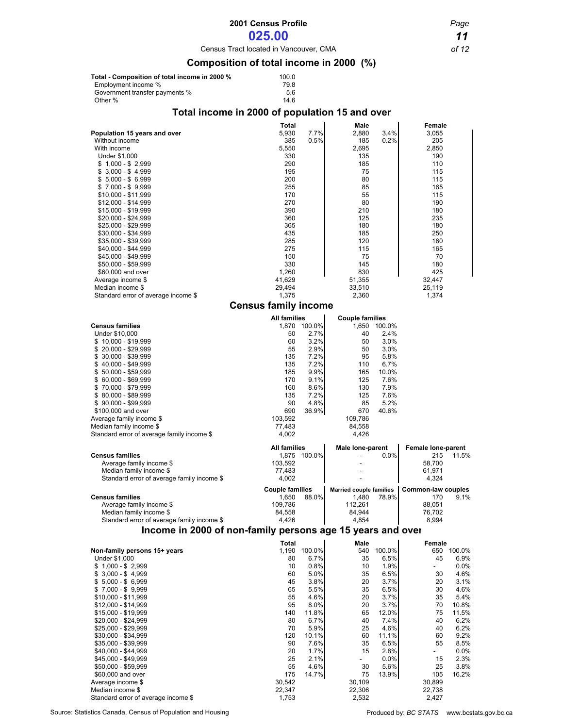# **2001 Census Profile** *Page*

# **025.00** *11*

Census Tract located in Vancouver, CMA *of 12*

## **Composition of total income in 2000 (%)**

| Total - Composition of total income in 2000 % | 100.0 |
|-----------------------------------------------|-------|
| Employment income %                           | 79.8  |
| Government transfer payments %                | 5.6   |
| Other %                                       | 14.6  |

## **Total income in 2000 of population 15 and over**

|                                                            | <b>Total</b>                |               | Male                           |               | Female                         |                |
|------------------------------------------------------------|-----------------------------|---------------|--------------------------------|---------------|--------------------------------|----------------|
| Population 15 years and over                               | 5,930                       | 7.7%          | 2,880                          | 3.4%          | 3,055                          |                |
| Without income<br>With income                              | 385                         | 0.5%          | 185<br>2,695                   | 0.2%          | 205                            |                |
| Under \$1,000                                              | 5,550<br>330                |               | 135                            |               | 2,850<br>190                   |                |
| $$1,000 - $2,999$                                          | 290                         |               | 185                            |               | 110                            |                |
| $$3,000 - $4,999$                                          | 195                         |               | 75                             |               | 115                            |                |
| $$5,000 - $6,999$                                          | 200                         |               | 80                             |               | 115                            |                |
| $$7,000 - $9,999$<br>\$10,000 - \$11,999                   | 255<br>170                  |               | 85<br>55                       |               | 165<br>115                     |                |
| \$12,000 - \$14,999                                        | 270                         |               | 80                             |               | 190                            |                |
| \$15,000 - \$19,999                                        | 390                         |               | 210                            |               | 180                            |                |
| \$20,000 - \$24,999                                        | 360                         |               | 125                            |               | 235                            |                |
| \$25,000 - \$29,999<br>\$30,000 - \$34,999                 | 365                         |               | 180<br>185                     |               | 180                            |                |
| \$35,000 - \$39,999                                        | 435<br>285                  |               | 120                            |               | 250<br>160                     |                |
| \$40,000 - \$44,999                                        | 275                         |               | 115                            |               | 165                            |                |
| \$45,000 - \$49,999                                        | 150                         |               | 75                             |               | 70                             |                |
| \$50,000 - \$59,999                                        | 330                         |               | 145                            |               | 180                            |                |
| \$60,000 and over<br>Average income \$                     | 1,260<br>41,629             |               | 830<br>51,355                  |               | 425<br>32,447                  |                |
| Median income \$                                           | 29,494                      |               | 33,510                         |               | 25,119                         |                |
| Standard error of average income \$                        | 1,375                       |               | 2,360                          |               | 1,374                          |                |
|                                                            | <b>Census family income</b> |               |                                |               |                                |                |
|                                                            | <b>All families</b>         |               | <b>Couple families</b>         |               |                                |                |
| <b>Census families</b>                                     |                             | 1,870 100.0%  | 1,650                          | 100.0%        |                                |                |
| Under \$10,000                                             | 50                          | 2.7%          | 40                             | 2.4%          |                                |                |
| $$10,000 - $19,999$                                        | 60                          | 3.2%          | 50                             | 3.0%          |                                |                |
| $$20,000 - $29,999$<br>$$30,000 - $39,999$                 | 55<br>135                   | 2.9%<br>7.2%  | 50<br>95                       | 3.0%<br>5.8%  |                                |                |
| $$40,000 - $49,999$                                        | 135                         | 7.2%          | 110                            | 6.7%          |                                |                |
| $$50,000 - $59,999$                                        | 185                         | 9.9%          | 165                            | 10.0%         |                                |                |
| $$60,000 - $69,999$                                        | 170                         | 9.1%          | 125                            | 7.6%          |                                |                |
| $$70,000 - $79,999$                                        | 160<br>135                  | 8.6%<br>7.2%  | 130<br>125                     | 7.9%<br>7.6%  |                                |                |
| $$80,000 - $89,999$<br>$$90,000 - $99,999$                 | 90                          | 4.8%          | 85                             | 5.2%          |                                |                |
| \$100,000 and over                                         | 690                         | 36.9%         | 670                            | 40.6%         |                                |                |
| Average family income \$                                   | 103,592                     |               | 109,786                        |               |                                |                |
| Median family income \$                                    | 77,483                      |               | 84,558                         |               |                                |                |
| Standard error of average family income \$                 | 4,002                       |               | 4,426                          |               |                                |                |
|                                                            | <b>All families</b>         |               | <b>Male lone-parent</b>        |               | Female lone-parent             |                |
| <b>Census families</b><br>Average family income \$         | 103,592                     | 1,875 100.0%  |                                | $0.0\%$       | 215<br>58,700                  | 11.5%          |
| Median family income \$                                    | 77,483                      |               |                                |               | 61,971                         |                |
| Standard error of average family income \$                 | 4,002                       |               |                                |               | 4,324                          |                |
|                                                            | <b>Couple families</b>      |               | <b>Married couple families</b> |               | Common-law couples             |                |
| <b>Census families</b>                                     | 1,650                       | 88.0%         | 1,480                          | 78.9%         | 170                            | 9.1%           |
| Average family income \$<br>Median family income \$        | 109,786<br>84,558           |               | 112,261<br>84,944              |               | 88,051<br>76,702               |                |
| Standard error of average family income \$                 | 4,426                       |               | 4,854                          |               | 8,994                          |                |
| Income in 2000 of non-family persons age 15 years and over |                             |               |                                |               |                                |                |
|                                                            | <b>Total</b>                |               | Male                           |               | Female                         |                |
| Non-family persons 15+ years                               |                             | 1,190 100.0%  | 540                            | 100.0%        |                                | 650 100.0%     |
| Under \$1,000<br>$$1,000 - $2,999$                         | 80<br>10                    | 6.7%<br>0.8%  | 35<br>10                       | 6.5%<br>1.9%  | 45<br>$\overline{\phantom{0}}$ | 6.9%<br>0.0%   |
| $$3,000 - $4,999$                                          | 60                          | 5.0%          | 35                             | 6.5%          | 30                             | 4.6%           |
| $$5,000 - $6,999$                                          | 45                          | 3.8%          | 20                             | 3.7%          | 20                             | 3.1%           |
| $$7,000 - $9,999$                                          | 65                          | 5.5%          | 35                             | 6.5%          | 30                             | 4.6%           |
| $$10,000 - $11,999$                                        | 55                          | 4.6%          | 20                             | 3.7%          | 35                             | 5.4%           |
| \$12,000 - \$14,999<br>\$15,000 - \$19,999                 | 95<br>140                   | 8.0%<br>11.8% | 20<br>65                       | 3.7%<br>12.0% | 70<br>75                       | 10.8%<br>11.5% |
| \$20,000 - \$24,999                                        | 80                          | 6.7%          | 40                             | 7.4%          | 40                             | 6.2%           |
| \$25,000 - \$29,999                                        | 70                          | 5.9%          | 25                             | 4.6%          | 40                             | 6.2%           |
| \$30,000 - \$34,999                                        | 120                         | 10.1%         | 60                             | 11.1%         | 60                             | 9.2%           |
| \$35,000 - \$39,999<br>\$40,000 - \$44,999                 | 90<br>20                    | 7.6%<br>1.7%  | 35<br>15                       | 6.5%<br>2.8%  | 55<br>$\overline{\phantom{0}}$ | 8.5%<br>0.0%   |
| \$45,000 - \$49,999                                        | 25                          | 2.1%          | ÷.                             | 0.0%          | 15                             | 2.3%           |
| \$50,000 - \$59,999                                        | 55                          | 4.6%          | 30                             | 5.6%          | 25                             | 3.8%           |
| \$60,000 and over                                          | 175                         | 14.7%         | 75                             | 13.9%         | 105                            | 16.2%          |
| Average income \$<br>Median income \$                      | 30,542<br>22,347            |               | 30,109                         |               | 30,899<br>22,738               |                |
| Standard error of average income \$                        | 1,753                       |               | 22,306<br>2,532                |               | 2,427                          |                |
|                                                            |                             |               |                                |               |                                |                |